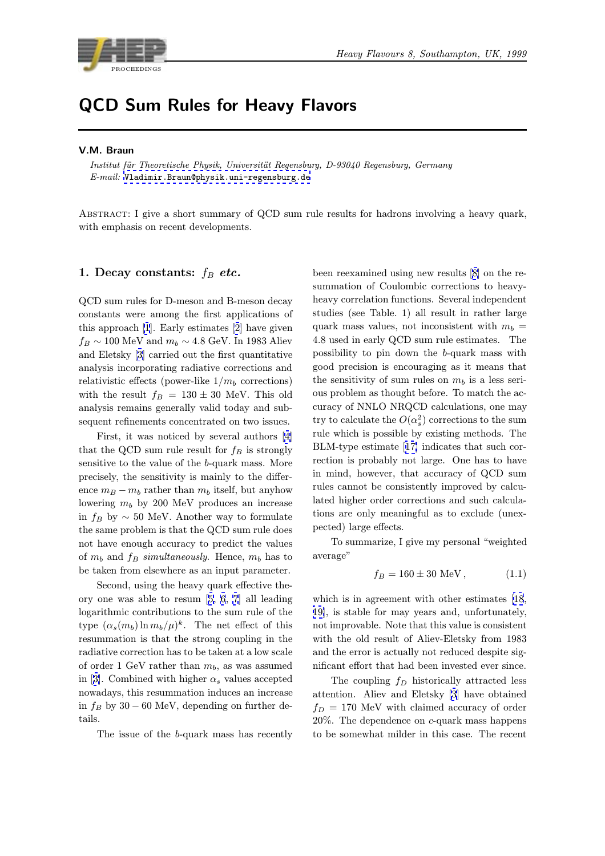

# QCD Sum Rules for Heavy Flavors

#### V.M. Braun

Institut für Theoretische Physik, Universität Regensburg, D-93040 Regensburg, Germany E-mail: Vladimir.Braun@physik.uni-regensburg.de

Abstract: I give a short summary of QCD sum rule results for hadrons involving a heavy quark, with emp[hasis on recent developments.](mailto:Vladimir.Braun@physik.uni-regensburg.de)

### 1. Decay constants:  $f_B$  etc.

QCD sum rules for D-meson and B-meson decay constants were among the first applications of this approach [1]. Early estimates [2] have given  $f_B \sim 100$  MeV and  $m_b \sim 4.8$  GeV. In 1983 Aliev and Eletsky [3] carried out the first quantitative analysis incorporating radiative corrections and relativistic effe[ct](#page-8-0)s (power-like  $1/m_b$  $1/m_b$  corrections) with the result  $f_B = 130 \pm 30$  MeV. This old analysis rem[ain](#page-8-0)s generally valid today and subsequent refinements concentrated on two issues.

First, it was noticed by several authors [4] that the QCD sum rule result for  $f_B$  is strongly sensitive to the value of the b-quark mass. More precisely, the sensitivity is mainly to the difference  $m_B - m_b$  rather than  $m_b$  itself, but anyh[ow](#page-8-0) lowering  $m_b$  by 200 MeV produces an increase in  $f_B$  by  $\sim 50$  MeV. Another way to formulate the same problem is that the QCD sum rule does not have enough accuracy to predict the values of  $m_b$  and  $f_B$  simultaneously. Hence,  $m_b$  has to be taken from elsewhere as an input parameter.

Second, using the heavy quark effective theory one was able to resum [5, 6, 7] all leading logarithmic contributions to the sum rule of the type  $(\alpha_s(m_b) \ln m_b/\mu)^k$ . The net effect of this resummation is that the strong coupling in the radiative correction has to be [take](#page-8-0)n [a](#page-8-0)t a low scale of order 1 GeV rather than  $m_b$ , as was assumed in [3]. Combined with higher  $\alpha_s$  values accepted nowadays, this resummation induces an increase in  $f_B$  by 30 – 60 MeV, depending on further details.

[T](#page-8-0)he issue of the b-quark mass has recently

been reexamined using new results [8] on the resummation of Coulombic corrections to heavyheavy correlation functions. Several independent studies (see Table. 1) all result in rather large quark mass values, not inconsisten[t w](#page-8-0)ith  $m_b =$ <sup>4</sup>.8 used in early QCD sum rule estimates. The possibility to pin down the b-quark mass with good precision is encouraging as it means that the sensitivity of sum rules on  $m_b$  is a less serious problem as thought before. To match the accuracy of NNLO NRQCD calculations, one may try to calculate the  $O(\alpha_s^2)$  corrections to the sum<br>with which is possible by quiting methods. The rule which is possible by existing methods. The BLM-type estimate [17] indicates that such correction is probably not large. One has to have in mind, however, that accuracy of QCD sum rules cannot be consistently improved by calculated higher order c[orre](#page-8-0)ctions and such calculations are only meaningful as to exclude (unexpected) large effects.

To summarize, I give my personal "weighted average"

$$
f_B = 160 \pm 30 \text{ MeV}, \qquad (1.1)
$$

which is in agreement with other estimates [18, 19], is stable for may years and, unfortunately, not improvable. Note that this value is consistent with the old result of Aliev-Eletsky from 1983 and the error is actually not reduced despite [sig](#page-8-0)[nifi](#page-8-0)cant effort that had been invested ever since.

The coupling  $f_D$  historically attracted less attention. Aliev and Eletsky [3] have obtained  $f_D = 170$  MeV with claimed accuracy of order 20%. The dependence on c-quark mass happens to be somewhat milder in this [c](#page-8-0)ase. The recent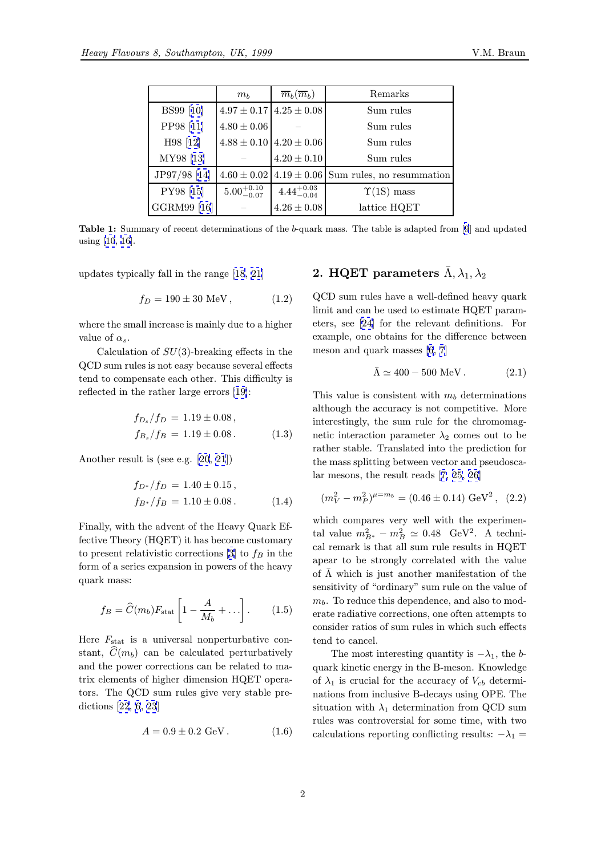|                  | $m_b$                  | $\overline{m}_b(\overline{m}_b)$ | Remarks                                   |  |
|------------------|------------------------|----------------------------------|-------------------------------------------|--|
| <b>BS99</b> [10] |                        | $4.97 \pm 0.17$ $4.25 \pm 0.08$  | Sum rules                                 |  |
| PP98 [11]        | $4.80 \pm 0.06$        |                                  | Sum rules                                 |  |
| H98 [12]         |                        | $4.88 \pm 0.10$ 4.20 $\pm$ 0.06  | Sum rules                                 |  |
| MY98 [13]        |                        | $4.20 \pm 0.10$                  | Sum rules                                 |  |
| JP97/98 [14]     | $4.60 \pm 0.02$        |                                  | $4.19 \pm 0.06$ Sum rules, no resummation |  |
| PY98 [15]        | $5.00^{+0.10}_{-0.07}$ | $4.44^{+0.03}_{-0.04}$           | $\Upsilon(1S)$ mass                       |  |
| GGRM99 [16]      |                        | $4.26 \pm 0.08$                  | lattice HQET                              |  |

Table 1: Summary of recent [de](#page-8-0)terminations of the <sup>b</sup>-quark mass. The table is adapted from [9] and updated using [10, 16].

updates typically fall in the range [18, 21]

$$
f_D = 190 \pm 30 \text{ MeV}, \qquad (1.2)
$$

where the small increase is mainly d[ue](#page-8-0) t[o a](#page-8-0) higher value of  $\alpha_s$ .

Calculation of  $SU(3)$ -breaking effects in the QCD sum rules is not easy because several effects tend to compensate each other. This difficulty is reflected in the rather large errors [19]:

$$
f_{D_s}/f_D = 1.19 \pm 0.08 ,f_{B_s}/f_B = 1.19 \pm 0.08 .
$$
 (1.3)

Another result is (see e.g. [20, 21])

$$
f_{D^*}/f_D = 1.40 \pm 0.15,
$$
  
\n
$$
f_{B^*}/f_B = 1.10 \pm 0.08.
$$
 (1.4)

Finally, with the advent of the Heavy Quark Effective Theory (HQET) it has become customary to present relativistic corrections [3] to  $f_B$  in the form of a series expansion in powers of the heavy quark mass:

$$
f_B = \widehat{C}(m_b) F_{\text{stat}} \left[ 1 - \frac{A}{M_b} + \ldots \right]. \tag{1.5}
$$

Here  $F_{\text{stat}}$  is a universal nonperturbative constant,  $C(m_b)$  can be calculated perturbatively and the power corrections can be related to matrix elements of higher dimension HQET operators. The QCD sum rules give very stable predictions [22, 6, 23]

$$
A = 0.9 \pm 0.2 \text{ GeV} \,. \tag{1.6}
$$

# 2. HQET parameters  $\bar{\Lambda}$ ,  $\lambda_1$  $\lambda_1$ ,  $\lambda_2$

QCD sum rules have a well-defined heavy quark limit and can be used to estimate HQET parameters, see [24] for the relevant definitions. For example, one obtains for the difference between meson and quark masses [6, 7]

$$
\bar{\Lambda} \simeq 400 - 500 \text{ MeV}. \qquad (2.1)
$$

This value is consistent w[it](#page-8-0)h  $m_b$  determinations although the accuracy is no[t](#page-8-0) [c](#page-8-0)ompetitive. More interestingly, the sum rule for the chromomagnetic interaction parameter  $\lambda_2$  comes out to be rather stable. Translated into the prediction for the mass splitting between vector and pseudoscalar mesons, the result reads [7, 25, 26]

$$
(m_V^2 - m_P^2)^{\mu = m_b} = (0.46 \pm 0.14) \text{ GeV}^2, (2.2)
$$

which compares very well [with t](#page-8-0)h[e e](#page-8-0)xperimental value  $m_{B^*}^2 - m_B^2 \simeq 0.48$  GeV<sup>2</sup>. A techni-<br>cal remark is that all sum rule results in HOFT cal remark is that all sum rule results in HQET apear to be strongly correlated with the value of  $\Lambda$  which is just another manifestation of the sensitivity of "ordinary" sum rule on the value of  $m_b$ . To reduce this dependence, and also to moderate radiative corrections, one often attempts to consider ratios of sum rules in which such effects tend to cancel.

The most interesting quantity is  $-\lambda_1$ , the bquark kinetic energy in the B-meson. Knowledge of  $\lambda_1$  is crucial for the accuracy of  $V_{cb}$  determinations from inclusive B-decays using OPE. The situation with  $\lambda_1$  determination from QCD sum rules was controversial for some time, with two calculations reporting conflicting results:  $-\lambda_1 =$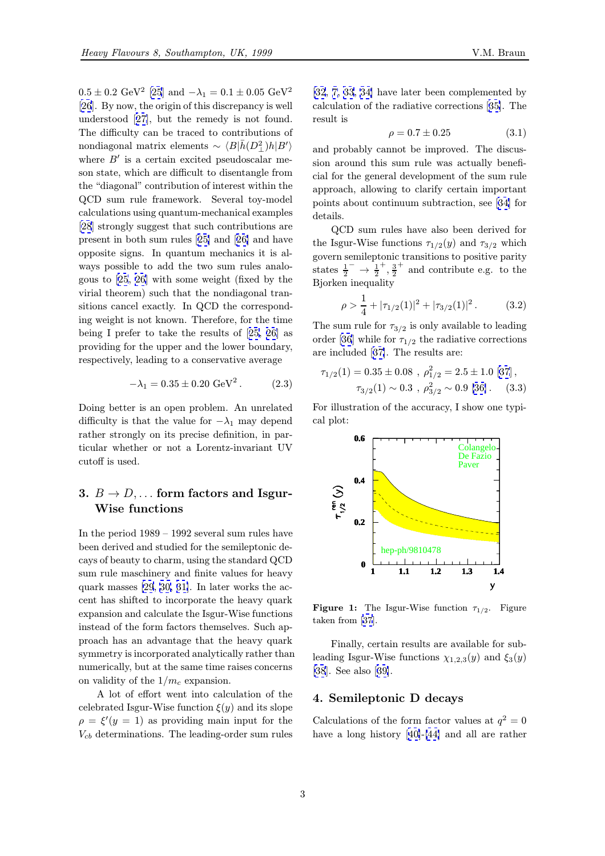$0.5 \pm 0.2$  GeV<sup>2</sup> [25] and  $-\lambda_1 = 0.1 \pm 0.05$  GeV<sup>2</sup> [26]. By now, the origin of this discrepancy is well understood [27], but the remedy is not found. The difficulty can be traced to contributions of nondiagonal ma[trix](#page-8-0) elements ~  $\langle B|\bar{h}(D_{\perp}^2)h|B'\rangle$ <br>where  $B'$  is a certain evolved proudessalar matrix [wh](#page-8-0)ere  $B'$  is a certain excited pseudoscalar meson state, w[hich](#page-8-0) are difficult to disentangle from the "diagonal" contribution of interest within the QCD sum rule framework. Several toy-model calculations using quantum-mechanical examples [28] strongly suggest that such contributions are present in both sum rules [25] and [26] and have opposite signs. In quantum mechanics it is always possible to add the two sum rules analo[gou](#page-8-0)s to [25, 26] with some weight (fixed by the virial theorem) such that [the](#page-8-0) nond[iag](#page-8-0)onal transitions cancel exactly. In QCD the corresponding weight is not known. Therefore, for the time being I [pre](#page-8-0)f[er t](#page-8-0)o take the results of [25, 26] as providing for the upper and the lower boundary, respectively, leading to a conservative average

$$
-\lambda_1 = 0.35 \pm 0.20 \text{ GeV}^2. \tag{2.3}
$$

Doing better is an open problem. An unrelated difficulty is that the value for  $-\lambda_1$  may depend rather strongly on its precise definition, in particular whether or not a Lorentz-invariant UV cutoff is used.

# 3.  $B \rightarrow D$ ,... form factors and Isgur-Wise functions

In the period 1989 – 1992 several sum rules have been derived and studied for the semileptonic decays of beauty to charm, using the standard QCD sum rule maschinery and finite values for heavy quark masses [29, 30, 31]. In later works the accent has shifted to incorporate the heavy quark expansion and calculate the Isgur-Wise functions instead of the form factors themselves. Such approach has an [advan](#page-8-0)t[age](#page-8-0) that the heavy quark symmetry is incorporated analytically rather than numerically, but at the same time raises concerns on validity of the  $1/m_c$  expansion.

A lot of effort went into calculation of the celebrated Isgur-Wise function  $\xi(y)$  and its slope  $\rho = \xi'(y = 1)$  as providing main input for the  $V_{cb}$  determinations. The leading-order sum rules

[32, 7, 33, 34] have later been complemented by calculation of the radiative corrections [35]. The result is

$$
\rho = 0.7 \pm 0.25 \tag{3.1}
$$

[and](#page-8-0) [p](#page-8-0)r[obably](#page-8-0) cannot be improved. Th[e d](#page-8-0)iscussion around this sum rule was actually beneficial for the general development of the sum rule approach, allowing to clarify certain important points about continuum subtraction, see [34] for details.

QCD sum rules have also been derived for the Isgur-Wise functions  $\tau_{1/2}(y)$  and  $\tau_{3/2}$  which govern semileptonic transitions to positive [pa](#page-8-0)rity states  $\frac{1}{2}^{-} \rightarrow \frac{1}{2}$  $+\frac{3}{2}$  and contribute e.g. to the Bjorken inequality

$$
\rho > \frac{1}{4} + |\tau_{1/2}(1)|^2 + |\tau_{3/2}(1)|^2. \tag{3.2}
$$

The sum rule for  $\tau_{3/2}$  is only available to leading order [36] while for  $\tau_{1/2}$  the radiative corrections are included [37]. The results are:

$$
\tau_{1/2}(1) = 0.35 \pm 0.08 , \ \rho_{1/2}^2 = 2.5 \pm 1.0 \ [37],
$$

$$
\tau_{3/2}(1) \sim 0.3 , \ \rho_{3/2}^2 \sim 0.9 \ [36]. \tag{3.3}
$$

For illustrati[on o](#page-8-0)f the accuracy, I show one typical plot:



**Figure 1:** The Isgur-Wise function  $\tau_{1/2}$ . Figure taken from [37].

Finally, certain results are available for subleading Isgur-Wise functions  $\chi_{1,2,3}(y)$  and  $\xi_3(y)$ [38]. See al[so](#page-8-0) [39].

## 4. Semileptonic D decays

[Cal](#page-8-0)culations o[f th](#page-8-0)e form factor values at  $q^2 = 0$ have a long history [40]-[44] and all are rather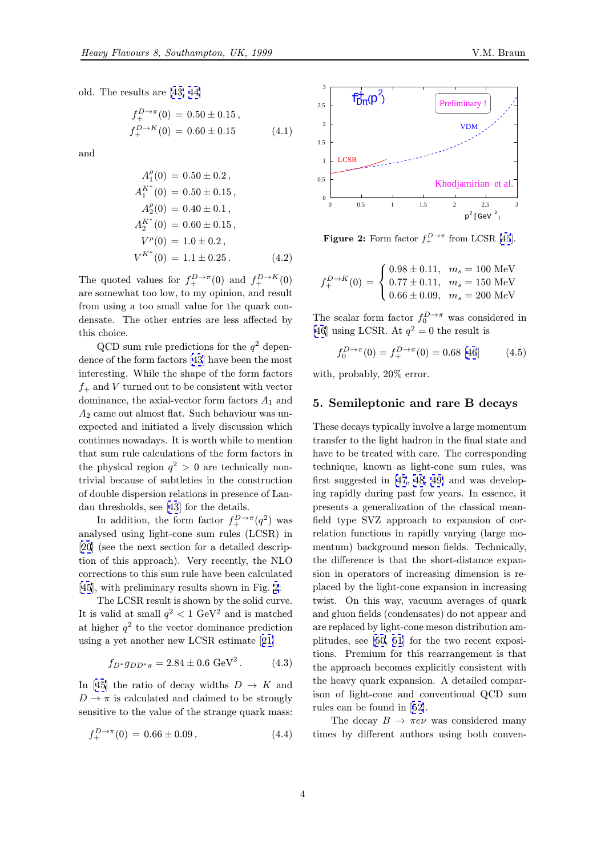old. The results are [43, 44]

$$
f_{+}^{D \to \pi}(0) = 0.50 \pm 0.15,
$$
  
\n
$$
f_{+}^{D \to K}(0) = 0.60 \pm 0.15
$$
\n(4.1)

and

$$
A_1^{\rho}(0) = 0.50 \pm 0.2,
$$
  
\n
$$
A_1^{K^*}(0) = 0.50 \pm 0.15,
$$
  
\n
$$
A_2^{\rho}(0) = 0.40 \pm 0.1,
$$
  
\n
$$
A_2^{K^*}(0) = 0.60 \pm 0.15,
$$
  
\n
$$
V^{\rho}(0) = 1.0 \pm 0.2,
$$
  
\n
$$
V^{K^*}(0) = 1.1 \pm 0.25.
$$
\n(4.2)

The quoted values for  $f_+^{D \to \pi}(0)$  and  $f_+^{D \to K}(0)$ are somewhat too low, to my opinion, and result from using a too small value for the quark condensate. The other entries are less affected by this choice.

QCD sum rule predictions for the  $q^2$  dependence of the form factors [43] have been the most interesting. While the shape of the form factors  $f_{+}$  and V turned out to be consistent with vector dominance, the axial-vector form factors  $A_1$  and  $A_2$  came out almost flat. [Suc](#page-9-0)h behaviour was unexpected and initiated a lively discussion which continues nowadays. It is worth while to mention that sum rule calculations of the form factors in the physical region  $q^2 > 0$  are technically nontrivial because of subtleties in the construction of double dispersion relations in presence of Landau thresholds, see [43] for the details.

In addition, the form factor  $f_+^{D\to\pi}(q^2)$  was analysed using light-cone sum rules (LCSR) in [20] (see the next section for a detailed description of this approac[h\).](#page-9-0) Very recently, the NLO corrections to this sum rule have been calculated [\[45](#page-8-0)], with preliminary results shown in Fig. 2:

The LCSR result is shown by the solid curve. It is valid at small  $q^2 < 1$  GeV<sup>2</sup> and is matched at higher  $q^2$  to the vector dominance prediction [usin](#page-9-0)g a yet another new LCSR estimate [21]

$$
f_{D^*}g_{DD^*\pi} = 2.84 \pm 0.6 \text{ GeV}^2. \tag{4.3}
$$

In [45] the ratio of decay widths  $D \to K$  $D \to K$  and  $D \to \pi$  is calculated and claimed to be strongly sensitive to the value of the strange quark mass:

$$
f_{+}^{D \to \pi}(0) = 0.66 \pm 0.09, \qquad (4.4)
$$



**Figure 2:** Form factor  $f_+^{D\to\pi}$  from LCSR [45].

$$
f_{+}^{D \to K}(0) = \begin{cases} 0.98 \pm 0.11, & m_s = 100 \text{ MeV} \\ 0.77 \pm 0.11, & m_s = 150 \text{ MeV} \\ 0.66 \pm 0.09, & m_s = 200 \text{ MeV} \end{cases}
$$

The scalar form factor  $f_0^{D\to\pi}$  was considered in [46] using LCSR. At  $q^2 = 0$  the result is

$$
f_0^{D \to \pi}(0) = f_+^{D \to \pi}(0) = 0.68 \; [46] \tag{4.5}
$$

[wit](#page-9-0)h, probably, 20% error.

#### 5. Semileptonic and rare [B](#page-9-0) decays

These decays typically involve a large momentum transfer to the light hadron in the final state and have to be treated with care. The corresponding technique, known as light-cone sum rules, was first suggested in [47, 48, 49] and was developing rapidly during past few years. In essence, it presents a generalization of the classical meanfield type SVZ approach to expansion of correlation functions [in](#page-9-0) r[apidly](#page-9-0) varying (large momentum) background meson fields. Technically, the difference is that the short-distance expansion in operators of increasing dimension is replaced by the light-cone expansion in increasing twist. On this way, vacuum averages of quark and gluon fields (condensates) do not appear and are replaced by light-cone meson distribution amplitudes, see [50, 51] for the two recent expositions. Premium for this rearrangement is that the approach becomes explicitly consistent with the heavy quark expansion. A detailed comparison of light-[cone a](#page-9-0)nd conventional QCD sum rules can be found in [52].

The decay  $B \to \pi e \nu$  was considered many times by different authors using both conven-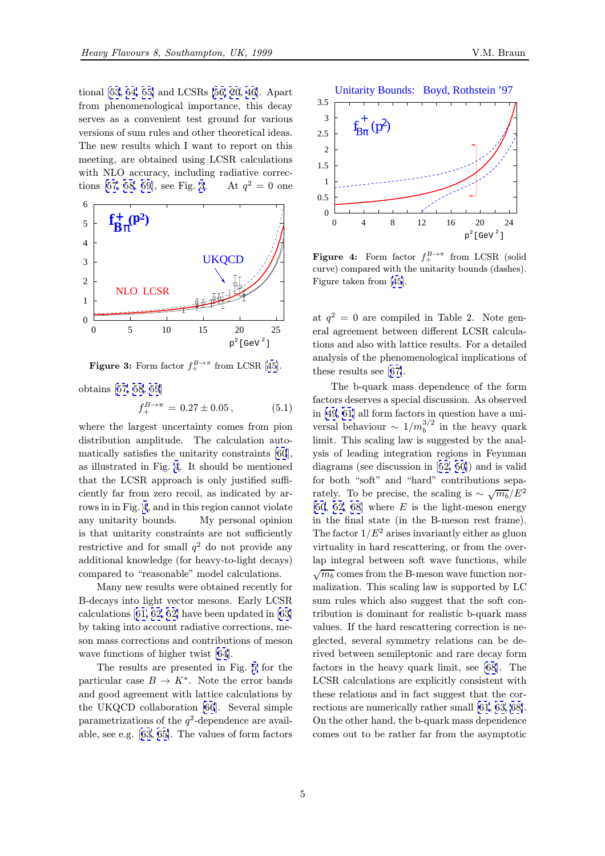

**Figure 3:** Form factor  $f_+^{B\to\pi}$  from LCSR [45].

obtains [57, 58, 59]

$$
f_{+}^{B\to\pi} = 0.27 \pm 0.05, \qquad (5.1)
$$

where the largest uncertainty comes from pion distribu[tion ampli](#page-9-0)tude. The calculation automatically satisfies the unitarity constraints [60], as illustrated in Fig. 4. It should be mentioned that the LCSR approach is only justified sufficiently far from zero recoil, as indicated by arrows in in Fig. 4, and in this region cannot vio[lat](#page-9-0)e any unitarity bounds. My personal opinion is that unitarity constraints are not sufficiently restrictive and for small  $q^2$  do not provide any additional knowledge (for heavy-to-light decays) compared to "reasonable" model calculations.

Many new results were obtained recently for B-decays into light vector mesons. Early LCSR calculations [61, 62, 52] have been updated in [63] by taking into account radiative corrections, meson mass corrections and contributions of meson wave functions of higher twist [64].

The res[ults are pr](#page-9-0)esented in Fig. 5 for [the](#page-9-0) particular case  $B \to K^*$ . Note the error bands and good agreement with lattice calculations by the UKQCD collaboration [66[\].](#page-9-0) Several simple parametrizations of the  $q^2$ -dependence [ar](#page-5-0)e available, see e.g. [63, 65]. The values of form factors



**Figure 4:** Form factor  $f_+^{B\to\pi}$  from LCSR (solid curve) compared with the unitarity bounds (dashes). Figure taken from [45].

at  $q^2 = 0$  are compiled in Table 2. Note general agreement be[tw](#page-9-0)een different LCSR calculations and also with lattice results. For a detailed analysis of the phenomenological implications of these results see [67].

The b-quark mass dependence of the form factors deserves a special discussion. As observed in [49, 61] all for[m fa](#page-9-0)ctors in question have a universal behaviour  $\sim 1/m_b^{3/2}$  in the heavy quark<br>limit. This scaling law is suggested by the anal limit. This scaling law is suggested by the analysis of leading integration regions in Feynman dia[grams](#page-9-0) (see discussion in [52, 50]) and is valid for both "soft" and "hard" contributions separately. To be precise, the scaling is  $\sim \sqrt{m_b/E^2}$ [50, 52, 68] where  $E$  is the light-meson energy in the final state (in the B[-m](#page-9-0)e[son](#page-9-0) rest frame). The factor  $1/E^2$  arises invariantly either as gluon virtuality in hard rescattering, or from the over[lap](#page-9-0) [integra](#page-9-0)l between soft wave functions, while  $\sqrt{m_b}$  comes from the B-meson wave function nor-<br>maligation. This scaling law is supported by LC malization. This scaling law is supported by LC sum rules which also suggest that the soft contribution is dominant for realistic b-quark mass values. If the hard rescattering correction is neglected, several symmetry relations can be derived between semileptonic and rare decay form factors in the heavy quark limit, see [68]. The LCSR calculations are explicitly consistent with these relations and in fact suggest that the corrections are numerically rather small [61, 63, 68]. On the other hand, the b-quark mass de[pe](#page-9-0)ndence comes out to be rather far from the asymptotic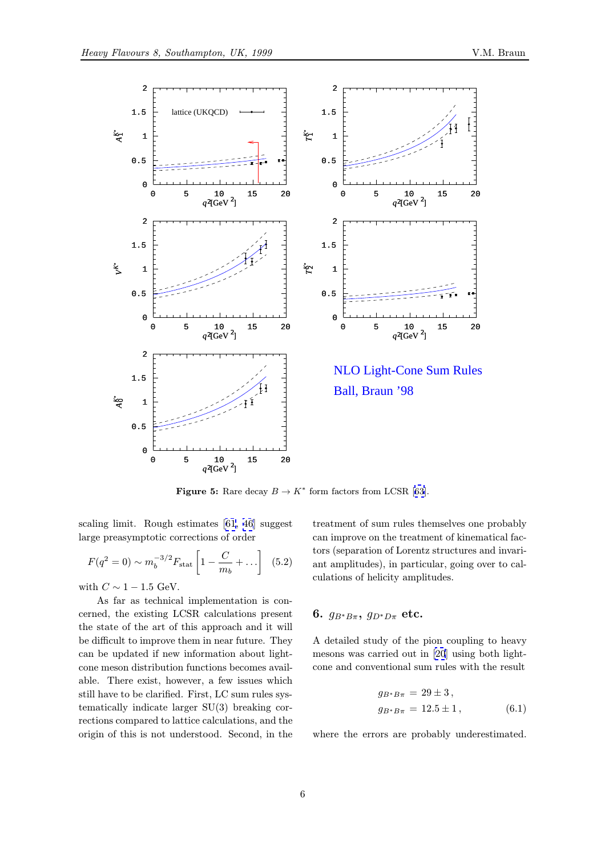<span id="page-5-0"></span>

**Figure 5:** Rare decay  $B \to K^*$  form factors from LCSR [63].

scaling limit. Rough estimates [61, 46] suggest large preasymptotic corrections of order

$$
F(q^2 = 0) \sim m_b^{-3/2} F_{\text{stat}} \left[ 1 - \frac{C}{m_b} + \dots \right] \tag{5.2}
$$

with  $C \sim 1 - 1.5$  GeV.

As far as technical implementation is concerned, the existing LCSR calculations present the state of the art of this approach and it will be difficult to improve them in near future. They can be updated if new information about lightcone meson distribution functions becomes available. There exist, however, a few issues which still have to be clarified. First, LC sum rules systematically indicate larger SU(3) breaking corrections compared to lattice calculations, and the origin of this is not understood. Second, in the

treatment of sum rules themselves one probably can improve on the tre[atm](#page-9-0)ent of kinematical factors (separation of Lorentz structures and invariant amplitudes), in particular, going over to calculations of helicity amplitudes.

#### 6.  $g_{B^*B\pi}$ ,  $g_{D^*D\pi}$  etc.

A detailed study of the pion coupling to heavy mesons was carried out in [20] using both lightcone and conventional sum rules with the result

$$
g_{B^*B\pi} = 29 \pm 3,
$$
  
\n
$$
g_{B^*B\pi} = 12.5 \pm 1,
$$
\n(6.1)

where the errors are probably underestimated.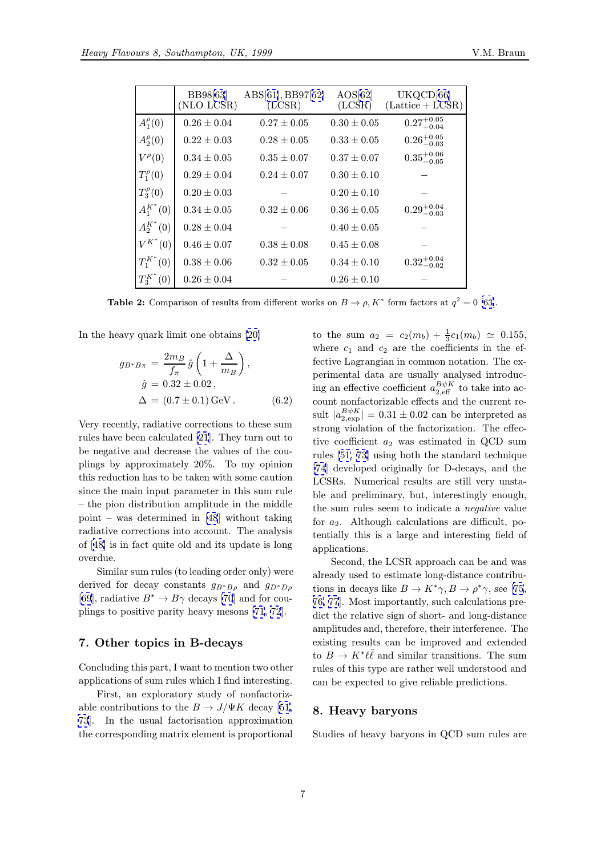|                 | <b>BB98[63]</b><br>(NLO LCSR) | $\text{ABS}[61],\text{BB97}[52]$<br>(LCSR) | AOS[62]<br>(LCSR) | UKQCD[66]<br>$(Lattice + \overline{LCSR})$ |
|-----------------|-------------------------------|--------------------------------------------|-------------------|--------------------------------------------|
| $A_1^{\rho}(0)$ | $0.26 \pm 0.04$               | $0.27 \pm 0.05$                            | $0.30 \pm 0.05$   | $0.27^{+0.05}_{-0.04}$                     |
| $A_2^{\rho}(0)$ | $0.22 \pm 0.03$               | $0.28 \pm 0.05$                            | $0.33 \pm 0.05$   | $0.26^{+0.05}_{-0.03}$                     |
| $V^{\rho}(0)$   | $0.34 \pm 0.05$               | $0.35 \pm 0.07$                            | $0.37 \pm 0.07$   | $0.35^{+0.06}_{-0.05}$                     |
| $T_1^{\rho}(0)$ | $0.29 \pm 0.04$               | $0.24 \pm 0.07$                            | $0.30 \pm 0.10$   |                                            |
| $T_3^{\rho}(0)$ | $0.20 \pm 0.03$               |                                            | $0.20 \pm 0.10$   |                                            |
| $A_1^{K^*}(0)$  | $0.34 \pm 0.05$               | $0.32 \pm 0.06$                            | $0.36 \pm 0.05$   | $0.29^{+0.04}_{-0.03}$                     |
| $A_2^{K^*}(0)$  | $0.28 \pm 0.04$               |                                            | $0.40 \pm 0.05$   |                                            |
| $V^{K^*}(0)$    | $0.46 \pm 0.07$               | $0.38 \pm 0.08$                            | $0.45 \pm 0.08$   |                                            |
| $T_1^{K^*}(0)$  | $0.38 \pm 0.06$               | $0.32 \pm 0.05$                            | $0.34 \pm 0.10$   | $0.32^{+0.04}_{-0.02}$                     |
| $T_3^{K^*}(0)$  | $0.26 \pm 0.04$               |                                            | $0.26 \pm 0.10$   |                                            |

**Table 2:** Comparison of results from different works on  $B \to \rho$ ,  $K^*$  form factors at  $q^2 = 0$  [63].

In the heavy quark limit one obtains [20]

$$
g_{B^*B\pi} = \frac{2m_B}{f_{\pi}} \hat{g} \left( 1 + \frac{\Delta}{m_B} \right),
$$
  
\n
$$
\hat{g} = 0.32 \pm 0.02,
$$
  
\n
$$
\Delta = (0.7 \pm 0.1) \,\text{GeV}.
$$
 (6.2)

Very recently, radiative corrections to these sum rules have been calculated [21]. They turn out to be negative and decrease the values of the couplings by approximately 20%. To my opinion this reduction has to be taken with some caution since the main input para[met](#page-8-0)er in this sum rule – the pion distribution amplitude in the middle point – was determined in [48] without taking radiative corrections into account. The analysis of [48] is in fact quite old and its update is long overdue.

Similar sum rules (to lea[ding](#page-9-0) order only) were derived for decay constants  $g_{B^*B\rho}$  and  $g_{D^*D\rho}$ [69[\], r](#page-9-0)adiative  $B^* \to B\gamma$  decays [70] and for couplings to positive parity heavy mesons [71, 72].

#### [7.](#page-9-0) Other topics in B-de[cay](#page-9-0)s

Concluding this part, I want to mention [two](#page-9-0) [oth](#page-9-0)er applications of sum rules which I find interesting.

First, an exploratory study of nonfactorizable contributions to the  $B \to J/\Psi K$  decay [51, 73]. In the usual factorisation approximation the corresponding matrix element is proportional

to the sum  $a_2 = c_2(m_b) + \frac{1}{3}c_1(m_b) \approx 0.155$ , where  $c_1$  and  $c_2$  are the coefficients [in](#page-9-0) the effective Lagrangian in common notation. The experimental data are usually analysed introducing an effective coefficient  $a_{2,\text{eff}}^{B\psi K}$  to take into ac-<br>count perfectorizable effects and the surrent recount nonfactorizable effects and the current result  $|a_{2,\exp}^{B\psi K}| = 0.31 \pm 0.02$  can be interpreted as strong violation of the factorization. The effective coefficient  $a_2$  was estimated in QCD sum rules [51, 73] using both the standard technique [74] developed originally for D-decays, and the LCSRs. Numerical results are still very unstable and preliminary, but, interestingly enough, the s[um](#page-9-0) [rule](#page-9-0)s seem to indicate a negative value [for](#page-9-0)  $a_2$ . Although calculations are difficult, potentially this is a large and interesting field of applications.

Second, the LCSR approach can be and was already used to estimate long-distance contributions in decays like  $B \to K^*\gamma, B \to \rho^*\gamma$ , see [75, 76, 77]. Most importantly, such calculations predict the relative sign of short- and long-distance amplitudes and, therefore, their interference. The exi[stin](#page-9-0)g results can be improved and exten[ded](#page-9-0) [to](#page-9-0)  $B \to K^*\ell\bar{\ell}$  and similar transitions. The sum rules of this type are rather well understood and can be expected to give reliable predictions.

#### 8. Heavy baryons

Studies of heavy baryons in QCD sum rules are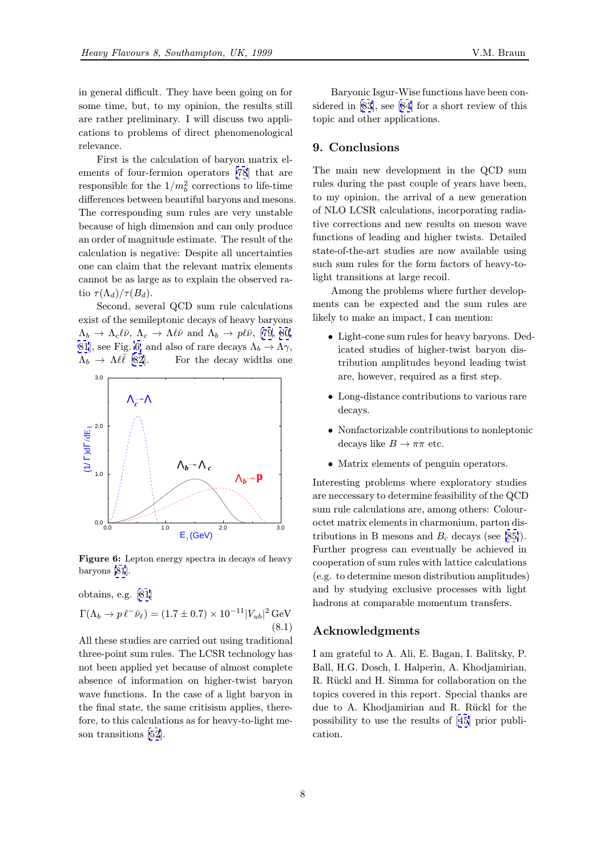in general difficult. They have been going on for some time, but, to my opinion, the results still are rather preliminary. I will discuss two applications to problems of direct phenomenological relevance.

First is the calculation of baryon matrix elements of four-fermion operators [78] that are responsible for the  $1/m_b^2$  corrections to life-time<br>differences between boutiful between and mesons differences between beautiful baryons and mesons. The corresponding sum rules are very unstable because of high dimension and can [onl](#page-9-0)y produce an order of magnitude estimate. The result of the calculation is negative: Despite all uncertainties one can claim that the relevant matrix elements cannot be as large as to explain the observed ratio  $\tau(\Lambda_d)/\tau(B_d)$ .

Second, several QCD sum rule calculations exist of the semileptonic decays of heavy baryons  $\Lambda_b \to \Lambda_c \ell \bar{\nu}, \, \Lambda_c \to \Lambda \ell \bar{\nu}$  and  $\Lambda_b \to p \ell \bar{\nu},$  [79, 80, 81], see Fig. 6, and also of rare decays  $\Lambda_b \to \Lambda \gamma$ ,<br>  $\Lambda_b \to \Lambda \ell \bar{\ell}$  [82]. For the decay widths one For the decay widths one



Figure 6: Lepton energy spectra in decays of heavy baryons [81].

obtains, e.g. [81]

$$
\Gamma(\Lambda_b \to p \ell^- \bar{\nu}_{\ell}) = (1.7 \pm 0.7) \times 10^{-11} |V_{ub}|^2 \,\text{GeV}
$$
\n(8.1)

All these stud[ies](#page-9-0) are carried out using traditional three-point sum rules. The LCSR technology has not been applied yet because of almost complete absence of information on higher-twist baryon wave functions. In the case of a light baryon in the final state, the same critisism applies, therefore, to this calculations as for heavy-to-light meson transitions [52].

Baryonic Isgur-Wise functions have been considered in [83], see [84] for a short review of this topic and other applications.

#### 9. Conc[lus](#page-9-0)ions

The main new development in the QCD sum rules during the past couple of years have been, to my opinion, the arrival of a new generation of NLO LCSR calculations, incorporating radiative corrections and new results on meson wave functions of leading and higher twists. Detailed state-of-the-art studies are now available using such sum rules for the form factors of heavy-tolight transitions at large recoil.

Among the problems where further developments can be expected and the sum rules are likely to make an impact, I can mention:

- Light-cone sum rules for heavy baryons. Dedicated studies of higher-twist baryon distribution amplitudes beyond leading twist are, however, required as a first step.
- Long-distance contributions to various rare decays.
- Nonfactorizable contributions to nonleptonic decays like  $B \to \pi\pi$  etc.
- Matrix elements of penguin operators.

Interesting problems where exploratory studies are neccessary to determine feasibility of the QCD sum rule calculations are, among others: Colouroctet matrix elements in charmonium, parton distributions in B mesons and  $B_c$  decays (see [85]). Further progress can eventually be achieved in cooperation of sum rules with lattice calculations (e.g. to determine meson distribution amplitudes) and by studying exclusive processes with [ligh](#page-9-0)t hadrons at comparable momentum transfers.

#### Acknowledgments

I am grateful to A. Ali, E. Bagan, I. Balitsky, P. Ball, H.G. Dosch, I. Halperin, A. Khodjamirian, R. Rückl and H. Simma for collaboration on the topics covered in this report. Special thanks are due to A. Khodjamirian and R. Rückl for the possibility to use the results of [45] prior publication.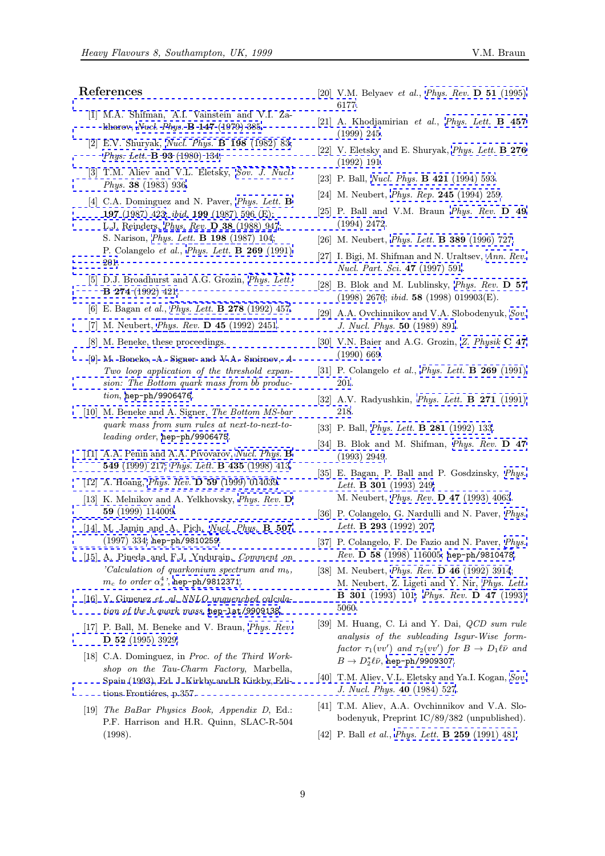## <span id="page-8-0"></span>References

- [1] M.A. Shifman, A.I. Vainstein and V.I. Zakharov, Nucl. Phys. B 147 (1979) 385.
- [2] E.V. Shuryak, Nucl. Phys. B 198 (1982) 83; Phys. Lett. B 93 [\(1980\) 134.](http://www-spires.slac.stanford.edu/spires/find/hep/www?j=PHRVA%2CD51%2C6177)
- [3] T.M. A[liev and V.L. Eletsky,](http://www-spires.slac.stanford.edu/spires/find/hep/www?j=NUPHA%2CB147%2C385) Sov. J. Nucl. Phys. 38 [\(1983\) 936.](http://www-spires.slac.stanford.edu/spires/find/hep/www?j=PHLTA%2CB457%2C245)
- [4] [C.A. Dominguez and N. Pav](http://www-spires.slac.stanford.edu/spires/find/hep/www?j=PHLTA%2CB93%2C134)[er,](http://www-spires.slac.stanford.edu/spires/find/hep/www?j=NUPHA%2CB198%2C83) *Phys. Lett.* **B** 197 (1987) 423; ibid. 199 (1987) 596 (E); L.J. Reinders, Phys. Rev. D 38 [\(1988\) 947;](http://www-spires.slac.stanford.edu/spires/find/hep/www?j=SJNCA%2C38%2C936) [S. Narison,](http://www-spires.slac.stanford.edu/spires/find/hep/www?j=SJNCA%2C38%2C936) Phys. Lett. B 198 (1987) 104; P. Colangelo et al., Phys. Lett. B 269 [\(1991\)](http://www-spires.slac.stanford.edu/spires/find/hep/www?j=PHLTA%2CB197%2C423) [201.](http://www-spires.slac.stanford.edu/spires/find/hep/www?j=PHLTA%2CB197%2C423)
- [\[5\]](http://www-spires.slac.stanford.edu/spires/find/hep/www?j=PHRVA%2CD49%2C2472) [D.J.](http://www-spires.slac.stanford.edu/spires/find/hep/www?j=PHRVA%2CD49%2C2472) [Broadhurs](http://www-spires.slac.stanford.edu/spires/find/hep/www?j=PHRVA%2CD49%2C2472)[t and A.G. Grozin,](http://www-spires.slac.stanford.edu/spires/find/hep/www?j=PHRVA%2CD38%2C947) Phys. Lett. B 274 (199[2\) 421.](http://www-spires.slac.stanford.edu/spires/find/hep/www?j=PHLTA%2CB198%2C104)
- [\[6\] E. B](http://www-spires.slac.stanford.edu/spires/find/hep/www?j=PHLTA%2CB269%2C201)agan et al., *Phys. Lett.* **B 278** [\(1992\)](http://www-spires.slac.stanford.edu/spires/find/hep/www?j=PHLTA%2CB269%2C201) [457.](http://www-spires.slac.stanford.edu/spires/find/hep/www?j=PHLTA%2CB269%2C201)
- [7] M. Neubert, Phys. Rev. D 45 (199[2\) 2451.](http://www-spires.slac.stanford.edu/spires/find/hep/www?j=PHLTA%2CB274%2C421)
- [\[8\] M. Beneke, these](http://www-spires.slac.stanford.edu/spires/find/hep/www?j=PHLTA%2CB274%2C421) [proceedings.](http://www-spires.slac.stanford.edu/spires/find/hep/www?j=PHRVA%2CD57%2C2676)
- [9] M. Beneke, A. [Signer and V.A. Smirnov,](http://www-spires.slac.stanford.edu/spires/find/hep/www?j=PHLTA%2CB278%2C457) A [Two loop app](http://www-spires.slac.stanford.edu/spires/find/hep/www?j=SJNCA%2C50%2C891)[lication of the threshold ex](http://www-spires.slac.stanford.edu/spires/find/hep/www?j=PHRVA%2CD45%2C2451)[pan](http://www-spires.slac.stanford.edu/spires/find/hep/www?j=SJNCA%2C50%2C891)sion: The Bottom quark mass from  $b\bar{b}$  production, hep-ph/9906476.
- [10] M. Beneke and A. Signer, The Bottom MS-bar quark mass from sum rules at next-to-next-toleading order, [hep-ph/9906475](http://www-spires.slac.stanford.edu/spires/find/hep/www?j=PHLTA%2CB269%2C201).
- [\[11\] A.A.](http://www-spires.slac.stanford.edu/spires/find/hep/www?j=PHLTA%2CB271%2C218) [Penin](http://xxx.lanl.gov/abs/hep-ph/9906476)[and](http://xxx.lanl.gov/abs/hep-ph/9906476) [A.A.](http://xxx.lanl.gov/abs/hep-ph/9906476) [Pivovarov,](http://www-spires.slac.stanford.edu/spires/find/hep/www?j=PHLTA%2CB271%2C218) Nucl. Phys. **B** 549 (1999) 217; Phys. Lett. B 435 (1998) 413.
- [12] A. Hoang, *Phys. Rev.* **[D 59](http://xxx.lanl.gov/abs/hep-ph/9906475)** (1999) 014039.
- [\[13\] K. Melnikov and A. Yelkhovsky,](http://www-spires.slac.stanford.edu/spires/find/hep/www?j=PHRVA%2CD47%2C2949) *[Phys. Rev.](http://www-spires.slac.stanford.edu/spires/find/hep/www?j=NUPHA%2CB549%2C217)* **D** 59 [\(1999\) 11400](http://www-spires.slac.stanford.edu/spires/find/hep/www?j=NUPHA%2CB549%2C217)[9.](http://www-spires.slac.stanford.edu/spires/find/hep/www?j=PHLTA%2CB435%2C413)
- [\[14\] M. Jamin](http://www-spires.slac.stanford.edu/spires/find/hep/www?j=PHLTA%2CB301%2C249) [and A. Pich,](http://www-spires.slac.stanford.edu/spires/find/hep/www?j=PHRVA%2CD59%2C014039) Nucl. Phys. **B 507** (1997) 334; hep-ph/9810259.
- [\[15\] A. Pineda and F](http://www-spires.slac.stanford.edu/spires/find/hep/www?j=PHRVA%2CD59%2C114009).J. Yndurain, *[Comment](http://www-spires.slac.stanford.edu/spires/find/hep/www?j=PHRVA%2CD59%2C114009) [on](http://www-spires.slac.stanford.edu/spires/find/hep/www?j=PHRVA%2CD59%2C114009)* ['Calculation of quarkonium spectrum and](http://www-spires.slac.stanford.edu/spires/find/hep/www?j=PHLTA%2CB293%2C207)  $m_b$ ,  $m_c$  *to order*  $\alpha_s^4$  ', <code>hep-ph/[9812371](http://www-spires.slac.stanford.edu/spires/find/hep/www?j=NUPHA%2CB507%2C334).</code>
- [\[16\]](http://www-spires.slac.stanford.edu/spires/find/hep/www?j=NUPHA%2CB507%2C334) [V.](http://www-spires.slac.stanford.edu/spires/find/hep/www?j=NUPHA%2CB507%2C334) [Gimene](http://www-spires.slac.stanford.edu/spires/find/hep/www?j=NUPHA%2CB507%2C334)z et. al, [NNLO](http://xxx.lanl.gov/abs/hep-ph/9810259) [un](http://xxx.lanl.gov/abs/hep-ph/9810259)quenched calcula[tion](http://www-spires.slac.stanford.edu/spires/find/hep/www?j=PHRVA%2CD58%2C116005) [of](http://www-spires.slac.stanford.edu/spires/find/hep/www?j=PHRVA%2CD58%2C116005) [the](http://www-spires.slac.stanford.edu/spires/find/hep/www?j=PHRVA%2CD58%2C116005) [b](http://www-spires.slac.stanford.edu/spires/find/hep/www?j=PHRVA%2CD58%2C116005) [quark](http://www-spires.slac.stanford.edu/spires/find/hep/www?j=PHRVA%2CD58%2C116005) [mass](http://www-spires.slac.stanford.edu/spires/find/hep/www?j=PHRVA%2CD58%2C116005), hep-lat/9909138.
- [17] P. Ball, M. Bene[ke and V. Braun](http://xxx.lanl.gov/abs/hep-ph/9812371), *Phys. Rev.* D 52 [\(1995\) 3929.](http://www-spires.slac.stanford.edu/spires/find/hep/www?j=PHLTA%2CB301%2C101)
- [18] C.A. Dominguez, in [Proc.](http://www-spires.slac.stanford.edu/spires/find/hep/www?j=PHRVA%2CD47%2C5060)[of](http://www-spires.slac.stanford.edu/spires/find/hep/www?j=PHRVA%2CD47%2C5060) [the](http://www-spires.slac.stanford.edu/spires/find/hep/www?j=PHRVA%2CD47%2C5060) [Third](http://www-spires.slac.stanford.edu/spires/find/hep/www?j=PHRVA%2CD47%2C5060) [Work](http://www-spires.slac.stanford.edu/spires/find/hep/www?j=PHRVA%2CD47%2C5060)shop on the Tau-Charm Factory, Marbella, Spain (1993), Ed. J. Kirkby and R [Kirkby, Edi](http://www-spires.slac.stanford.edu/spires/find/hep/www?j=PHRVA%2CD52%2C3929)tions Frontiéres, p.357.
- [19] The BaBar Physics Book, Appendix D, Ed.: P.F. Harrison and H.R. Quinn, SLAC-R-504 (1998).
- [20] V.M. Belyaev *et al., Phys. Rev.* **D 51** (1995) 6177.
- [21] A. Khodjamirian et al., Phys. Lett. **B** 457 (1999) 245.
- [22] V. Eletsky and E. Shuryak, *[Phys.](http://www-spires.slac.stanford.edu/spires/find/hep/www?j=PHRVA%2CD51%2C6177) [Lett.](http://www-spires.slac.stanford.edu/spires/find/hep/www?j=PHRVA%2CD51%2C6177)* **B 276** (1992) 191.
- [23] P. Ball, *Nucl. Phys.* **B 421** [\(1994\)](http://www-spires.slac.stanford.edu/spires/find/hep/www?j=PHLTA%2CB457%2C245) [593.](http://www-spires.slac.stanford.edu/spires/find/hep/www?j=PHLTA%2CB457%2C245)
- [24] M. Neubert, *Phys. Rep.* **245** [\(1994\) 259.](http://www-spires.slac.stanford.edu/spires/find/hep/www?j=PHLTA%2CB276%2C191)
- [\[25\] P. Ball an](http://www-spires.slac.stanford.edu/spires/find/hep/www?j=PHLTA%2CB276%2C191)d V.M. Braun Phys. Rev. D 49 (1994) 2[472.](http://www-spires.slac.stanford.edu/spires/find/hep/www?j=NUPHA%2CB421%2C593)
- [26] M. Neubert, *Phys. Lett.* **[B 389](http://www-spires.slac.stanford.edu/spires/find/hep/www?j=PRPLC%2C245%2C259)** (1996) 727.
- [27] I. Bigi, M. Shifman and N. Uraltsev, [Ann. Rev.](http://www-spires.slac.stanford.edu/spires/find/hep/www?j=PHRVA%2CD49%2C2472) Nucl. Part. Sci. 47 (1997) 591.
- [28] B. Blok and [M. Lublinsky,](http://www-spires.slac.stanford.edu/spires/find/hep/www?j=PHLTA%2CB389%2C727) Phys. Rev. D 57 (1998) 2676; ibid. 58 (1998) 019903(E).
- [\[29\] A.A. Ovchinnikov and V.A. Slo](http://www-spires.slac.stanford.edu/spires/find/hep/www?j=ARNUA%2C47%2C591)bode[nyuk,](http://www-spires.slac.stanford.edu/spires/find/hep/www?j=ARNUA%2C47%2C591) Sov. J. Nucl. Phys. 50 (1989) 891.
- [30] V.N. Baier and A.G. Grozin, [Z.](http://www-spires.slac.stanford.edu/spires/find/hep/www?j=PHRVA%2CD57%2C2676) [Physik](http://www-spires.slac.stanford.edu/spires/find/hep/www?j=PHRVA%2CD57%2C2676) C 47 (1990) 669.
- [31] P. Colangelo et al., *Phys. Lett.* **B 269** (1[991\)](http://www-spires.slac.stanford.edu/spires/find/hep/www?j=SJNCA%2C50%2C891) 201.
- [\[32\] A.V. Rady](http://www-spires.slac.stanford.edu/spires/find/hep/www?j=ZEPYA%2CC47%2C669)ushkin, *Phys. Lett.* **B 271** [\(1991\)](http://www-spires.slac.stanford.edu/spires/find/hep/www?j=ZEPYA%2CC47%2C669) 218.
- [33] P. Ball, *Phys. Lett.* **B 281** [\(1992\)](http://www-spires.slac.stanford.edu/spires/find/hep/www?j=PHLTA%2CB269%2C201) [133.](http://www-spires.slac.stanford.edu/spires/find/hep/www?j=PHLTA%2CB269%2C201)
- [34] B. Blok and M. Shifman, *[Phys. Rev.](http://www-spires.slac.stanford.edu/spires/find/hep/www?j=PHLTA%2CB271%2C218)* **D** 47 (1993) 2949.
- [35] E. Bag[an, P. Ball and P. Gosdzinsk](http://www-spires.slac.stanford.edu/spires/find/hep/www?j=PHLTA%2CB281%2C133)y, Phys. Lett. **B** 301 (1993) 249; M. Neubert, Phys. Rev. D 47 [\(1993\) 4063.](http://www-spires.slac.stanford.edu/spires/find/hep/www?j=PHRVA%2CD47%2C2949)
- [36] P. Colangelo, G. Nardulli and N. Paver, [Phys.](http://www-spires.slac.stanford.edu/spires/find/hep/www?j=PHLTA%2CB301%2C249) Lett. **B 293** (1992) 207.
- [37] P. Colangelo[, F. De Fazio and N. Paver,](http://www-spires.slac.stanford.edu/spires/find/hep/www?j=PHRVA%2CD47%2C4063) Phys. Rev. D 58 (1998) 116005; hep-ph/9810478.
- [38] M. Neubert, *Phys. Rev.* **D 46** (1992) 39[14;](http://www-spires.slac.stanford.edu/spires/find/hep/www?j=PHLTA%2CB293%2C207) M. Neubert, Z. Ligeti and Y. Nir, Phys. Lett. B 301 (1993) 101; Phys. Rev. [D 47](http://xxx.lanl.gov/abs/hep-ph/9810478) ([1993\)](http://www-spires.slac.stanford.edu/spires/find/hep/www?j=PHRVA%2CD58%2C116005) 5060.
- [39] M. Huang, [C. Li and Y. Dai,](http://www-spires.slac.stanford.edu/spires/find/hep/www?j=PHRVA%2CD46%2C3914) *QCD sum rule* analysis of the subleading Isgur-[Wise form](http://www-spires.slac.stanford.edu/spires/find/hep/www?j=PHLTA%2CB301%2C101)factor  $\tau_1(vv')$  [and](http://www-spires.slac.stanford.edu/spires/find/hep/www?j=PHRVA%2CD47%2C5060)  $\tau_2(vv')$  for  $B \to D_1\ell\bar{\nu}$  and  $B \to D_2^* \ell \bar{\nu}$ , hep-ph/9909307.
- [40] T.M. Aliev, V.L. Eletsky and Ya.I. Kogan, Sov. J. Nucl. Phys. 40 (1984) 527.
- [41] T.M. Aliev, [A.A. Ovchinnik](http://xxx.lanl.gov/abs/hep-ph/9909307)ov and V.A. Slobodenyuk, Preprint IC/89/382 (unpublished).
- [\[42\] P. Ball](http://www-spires.slac.stanford.edu/spires/find/hep/www?j=SJNCA%2C40%2C527) et al., *Phys. Lett.* **B 259** (1991) 4[81.](http://www-spires.slac.stanford.edu/spires/find/hep/www?j=SJNCA%2C40%2C527)